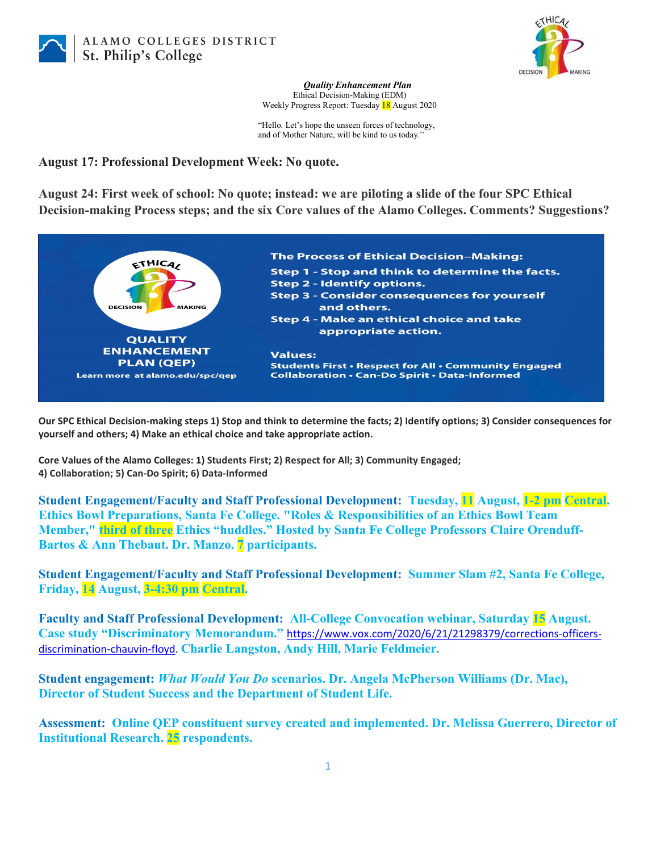



*Quality Enhancement Plan* Ethical Decision-Making (EDM) Weekly Progress Report: Tuesday 18 August 2020

"Hello. Let's hope the unseen forces of technology, and of Mother Nature, will be kind to us today."

## **August 17: Professional Development Week: No quote.**

**August 24: First week of school: No quote; instead: we are piloting a slide of the four SPC Ethical Decision-making Process steps; and the six Core values of the Alamo Colleges. Comments? Suggestions?** 



**Our SPC Ethical Decision-making steps 1) Stop and think to determine the facts; 2) Identify options; 3) Consider consequences for yourself and others; 4) Make an ethical choice and take appropriate action.**

**Core Values of the Alamo Colleges: 1) Students First; 2) Respect for All; 3) Community Engaged; 4) Collaboration; 5) Can-Do Spirit; 6) Data-Informed**

**Student Engagement/Faculty and Staff Professional Development: Tuesday, 11 August, 1-2 pm Central. Ethics Bowl Preparations, Santa Fe College. "Roles & Responsibilities of an Ethics Bowl Team Member," third of three Ethics "huddles." Hosted by Santa Fe College Professors Claire Orenduff-Bartos & Ann Thebaut. Dr. Manzo. 7 participants.**

**Student Engagement/Faculty and Staff Professional Development: Summer Slam #2, Santa Fe College, Friday, 14 August, 3-4:30 pm Central.**

**Faculty and Staff Professional Development: All-College Convocation webinar, Saturday 15 August. Case study "Discriminatory Memorandum."** [https://www.vox.com/2020/6/21/21298379/corrections-officers](https://www.vox.com/2020/6/21/21298379/corrections-officers-discrimination-chauvin-floyd)[discrimination-chauvin-floyd.](https://www.vox.com/2020/6/21/21298379/corrections-officers-discrimination-chauvin-floyd) **Charlie Langston, Andy Hill, Marie Feldmeier.**

**Student engagement:** *What Would You Do* **scenarios. Dr. Angela McPherson Williams (Dr. Mac), Director of Student Success and the Department of Student Life.**

**Assessment: Online QEP constituent survey created and implemented. Dr. Melissa Guerrero, Director of Institutional Research. 25 respondents.**